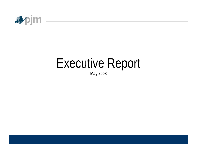

# Executive Report

**May 2008**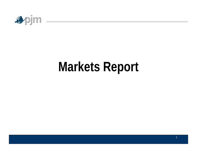

## **Markets Report**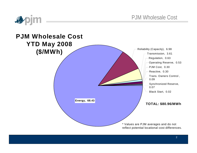

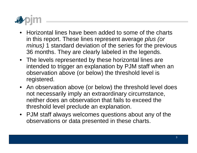

- •Horizontal lines have been added to some of the charts in this report. These lines represent average *plus (or minus)* 1 standard deviation of the series for the previous 36 months. They are clearly labeled in the legends.
- The levels represented by these horizontal lines are intended to trigger an explanation by PJM staff when an observation above (or below) the threshold level is registered.
- An observation above (or below) the threshold level does not necessarily imply an extraordinary circumstance, neither does an observation that fails to exceed the threshold level preclude an explanation.
- PJM staff always welcomes questions about any of the observations or data presented in these charts.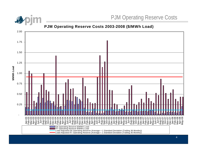

**P J M O perating Reser ve C osts 2003-2008 ( \$ / M W h Load)**

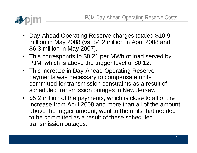

- Day-Ahead Operating Reserve charges totaled \$10.9 million in May 2008 (vs. \$4.2 million in April 2008 and \$6.3 million in May 2007).
- This corresponds to \$0.21 per MWh of load served by PJM, which is above the trigger level of \$0.12.
- This increase in Day-Ahead Operating Reserve payments was necessary to compensate units committed for transmission constraints as a result of scheduled transmission outages in New Jersey.
- \$5.2 million of the payments, which is close to all of the increase from April 2008 and more than all of the amount above the trigger amount, went to the units that needed to be committed as a result of these scheduled transmission outages.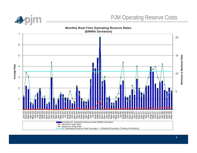

**Monthl y Real-Time O perating Reser v e R ate s**

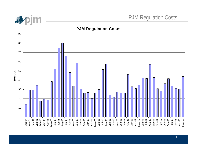

#### **PJM Regulation Costs**

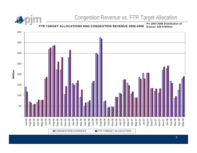## Congestion Revenue vs. FTR Target Allocation

**FTR TARGET ALLOCATI ONS AND CONGESTI ON REVENUE 2005- 2008P Y 2007-2008 Distrib utio n of Excess: \$25. 9Million**

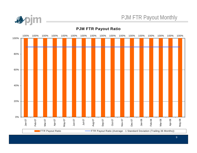

### PJM FTR Payout Monthly

#### **PJM FTR Payout Ratio**

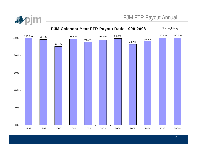



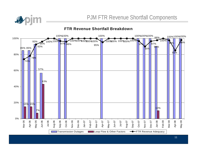

**FTR Revenue Shortfall Breakdown**

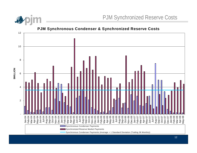

**\$MILLION**

#### **P J M S ynchronous C ondenser & S ynchroni zed Reser v e C ost s**

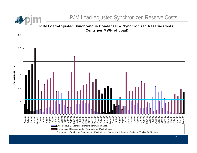

#### **P J M Load-Adjust ed S ynchronous C ondenser & S ynchroni zed R eser v e C ost s (Cent s per M W H of Load)**

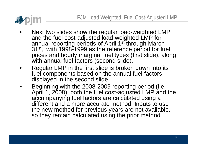

- •Next two slides show the regular load-weighted LMP and the fuel cost-adjusted load-weighted LMP for annual reporting periods of April 1<sup>st</sup> through March 31<sup>st</sup>, with 1998-1999 as the reference period for fuel prices and hourly marginal fuel types (first slide), along with annual fuel factors (second slide).
- •Regular LMP in the first slide is broken down into its fuel components based on the annual fuel factors displayed in the second slide.
- •Beginning with the 2008-2009 reporting period (i.e. April 1, 2008), both the fuel cost-adjusted LMP and the accompanying fuel factors are calculated using a different and a more accurate method. Inputs to use the new method for previous years are not available, so they remain calculated using the prior method.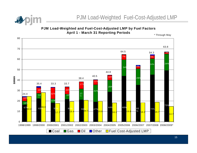

**P J M Load-Weighted and Fuel-Cost-Adjust ed LM P by Fuel Factors**  April 1 - March 31 Reporting Periods

\* Through M a y

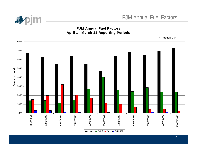

#### **PJM Annual Fuel Factors April 1 - March 31 Reporting Periods**

\* Through May

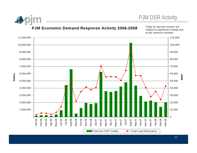

#### **PJM Economic Demand Response Activity 2006-2008**

\*Data for last few months are subject to significant change due to the settlement window.



17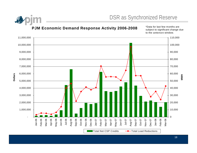

#### **P J M E conomic D e m and Response A c tivit y 2006-2008**

\*Data for last f ew months are subject t o significant change due to the settlement window.

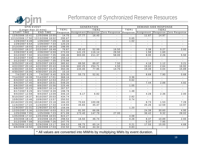

## Performance of Synchronized Reserve Resources

| <b>SPIN EVENT</b>     |                                    | <b>GENERATION</b> |                                                                                                                                                                                                                                                                                                  |                |                                                                                       | DEMAND-SIDE RESPONSE |                |                |                    |
|-----------------------|------------------------------------|-------------------|--------------------------------------------------------------------------------------------------------------------------------------------------------------------------------------------------------------------------------------------------------------------------------------------------|----------------|---------------------------------------------------------------------------------------|----------------------|----------------|----------------|--------------------|
| (Longer than 10 mins) |                                    | TIER1             | TIER2                                                                                                                                                                                                                                                                                            |                |                                                                                       | TIER <sub>1</sub>    | TIER2          |                |                    |
| <b>START TIME</b>     | <b>END TIME</b>                    |                   |                                                                                                                                                                                                                                                                                                  |                | Response Assignment Response Zero Response Response Assignment Response Zero Response |                      |                |                |                    |
| 12/5/2006 10:41       | 12/5/2006 10:55                    | 14.75             | 27.77                                                                                                                                                                                                                                                                                            | 16.40          |                                                                                       |                      | 11.67          | 14.97          |                    |
| 12/13/2006 17:50      | 12/13/2006 18:02                   | 295.67            | $\sim$                                                                                                                                                                                                                                                                                           | $\sim$         | $\sim$                                                                                | 0.65                 | $\sim$         | $\sim$         |                    |
| 1/29/20076:49         | 1/29/2007 7:29                     | 60.34             | $\sim$                                                                                                                                                                                                                                                                                           | $\sim$         | $\sim$                                                                                | 1.02                 | $\sim$         | $\sim$         | $\sim$             |
| 1/29/2007 6:54        | 1/29/2007 7:33                     | 120.23            | $\sim$                                                                                                                                                                                                                                                                                           | $\sim$         | $\sim$                                                                                | $\sim$               | $\sim$         | $\sim$         | $\sim$             |
| 2/13/2007 18:03       | 2/13/2007 18:28                    | 198.05            |                                                                                                                                                                                                                                                                                                  | $\sim$         |                                                                                       | $\sim$               | $\sim$         | $\sim$         | $\sim$             |
| 2/22/2007 18:37       | 2/22/2007 18:48                    | 76.67             | 85.43                                                                                                                                                                                                                                                                                            | 52.99          | 16.50                                                                                 |                      | 2.38           | 0.27           | 2.02               |
| 2/28/2007 6:40        | 2/28/2007 6:59                     | 273.03            | 141.23                                                                                                                                                                                                                                                                                           | 116.14         | 28.50                                                                                 | $\sim$               | 1.58           | 1.60           | $\sim$             |
| 3/12/2007 7:02        | 3/12/2007 7:35                     | 196.46            | 303.00                                                                                                                                                                                                                                                                                           | 211.37         | 58.00                                                                                 |                      | 8.00           | 2.26           | 5.50               |
| 3/12/2007 7:04        | 3/12/2007 7:35                     | 150.12            |                                                                                                                                                                                                                                                                                                  |                | $\sim$                                                                                |                      | $\blacksquare$ | $\blacksquare$ | $\sim$             |
| 3/12/2007 7:10        | 3/12/2007 7:35                     | 270.98            |                                                                                                                                                                                                                                                                                                  |                |                                                                                       | $\sim$               |                |                |                    |
| 3/25/2007 19:43       | 3/25/2007 19:53                    | 385.62            | 89.50                                                                                                                                                                                                                                                                                            | 89.87          | 7.50                                                                                  | $\sim$               | 4.18           | 1.12           | 3.21               |
| 4/22/2007 20:16       | 4/22/2007 20:43                    | 246.96            | 182.25                                                                                                                                                                                                                                                                                           | 254.71         | 4.50                                                                                  | $\blacksquare$       | 19.62          | 2.64           | 16.92              |
| 4/30/2007 15:04       | 4/30/2007 15:25                    | 350.36            | 134.40                                                                                                                                                                                                                                                                                           | 77.95          | 14.70                                                                                 | $\sim$               | 19.39          | 4.04           | 15.89              |
| 4/30/2007 15:05       | 4/30/2007 15:25                    | 15.10             |                                                                                                                                                                                                                                                                                                  | $\sim$         | $\overline{\phantom{a}}$                                                              | $\sim$               |                |                |                    |
| 7/4/2007 9:29         | 7/4/2007 9:40                      | 329.35            | 55.73                                                                                                                                                                                                                                                                                            | 52.91          |                                                                                       |                      | 8.69           | 7.90           | 0.68               |
| 7/14/2007 16:39       | 7/14/2007 17:01                    | 368.16            |                                                                                                                                                                                                                                                                                                  |                |                                                                                       | 3.36                 |                |                |                    |
| 8/3/2007 12:42        | 8/3/2007 12:53                     | 253.37            |                                                                                                                                                                                                                                                                                                  |                |                                                                                       | 0.62                 | ä.             |                |                    |
| 8/4/2007 17:45        | 8/4/2007 18:01                     | 548.20            | $\mathcal{L}^{\mathcal{L}}$                                                                                                                                                                                                                                                                      | $\sim$         | $\overline{\phantom{0}}$                                                              | $\Delta \phi$        | 7.44           | 2.88           | 4.82               |
| 8/6/2007 15:40        | 8/6/2007 15:56                     | 225.46            | $\sim$                                                                                                                                                                                                                                                                                           | $\sim$         | $\overline{\phantom{0}}$                                                              | 1.05                 | $\sim$         | $\sim$         | $\Delta \sim 10^4$ |
| 8/8/2007 15:23        | 8/8/2007 16:14                     | 267.57            | $\blacksquare$                                                                                                                                                                                                                                                                                   | $\blacksquare$ | $\blacksquare$                                                                        | $\sim$               | $\sim$         | $\blacksquare$ | $\sim$             |
| 8/17/20078:29         | 8/17/2007 8:39                     | 198.78            | $\sim$                                                                                                                                                                                                                                                                                           | $\mathbf{r}$   | $\blacksquare$                                                                        | 1.48                 | $\sim$         | $\sim$         | $\sim$             |
| 9/4/2007 12:59        | 9/4/2007 13:09                     | 346.10            | 6.17                                                                                                                                                                                                                                                                                             | 6.82           | $\overline{\phantom{a}}$                                                              | $\sim$               | 4.28           | 2.36           | 2.00               |
| 9/10/2007 19:37       | 9/10/2007 20:03                    | 434.74            | $\sim$                                                                                                                                                                                                                                                                                           | $\sim$         | $\sim$                                                                                | 2.82                 | $\sim$         | $\sim$         | $\sim$             |
| 10/9/2007 13:46       | 10/9/2007 13:57                    | 250.52            | $\sim$                                                                                                                                                                                                                                                                                           | $\sim$         | $\sim$                                                                                | 0.74                 | $\sim$         | $\sim$         | $\sim$             |
| 10/18/2007 23:05      | 10/18/2007 23:18                   | 184.20            | 70.63                                                                                                                                                                                                                                                                                            | 100.08         | $\sim$                                                                                | $\sim$               | 8.73           | 1.53           | 7.28               |
| 11/4/2007 17:22       | 11/4/2007 17:33                    | 119.93            | 45.83                                                                                                                                                                                                                                                                                            | 45.47          | $\overline{\phantom{a}}$                                                              |                      | 25.26          | 12.59          | 13.97              |
| 11/9/2007 22:31       | 11/9/2007 22:42                    | 158.09            |                                                                                                                                                                                                                                                                                                  | $\sim$         |                                                                                       | 1.20                 | $\sim$         |                |                    |
| 12/20/2007 5:36       | 12/20/2007 6:03                    | 511.20            | 81.00                                                                                                                                                                                                                                                                                            | 66.06          |                                                                                       |                      | 24.39          | 30.60          | 4.95               |
| 1/25/2008 7:05        | 1/25/2008 7:23                     | 671.09            | 173.40                                                                                                                                                                                                                                                                                           | 147.79         | 27.00                                                                                 | $\sim$               | 36.42          | 9.32           | 28.02              |
| 1/25/2008 17:42       | 1/25/2008 18:03                    | 824.27            | $\sim$                                                                                                                                                                                                                                                                                           | $\sim$         | $\blacksquare$                                                                        | 4.08                 | $\sim$         | $\sim$         | $\sim$             |
| 3/3/2008 18:14        | 3/3/2008 18:25                     | 298.53            | 16.50                                                                                                                                                                                                                                                                                            | 46.74          |                                                                                       | 0.28                 | 8.37           | 10.89          | 2.93               |
| 3/12/2008 7:08        | $3/12/2008$ 7:26                   | 247.75            |                                                                                                                                                                                                                                                                                                  | $\sim$         | $\overline{a}$                                                                        | $\sim$               | 5.37           | 7.95           |                    |
| 5/29/2008 13:02       | 5/29/2008 13:17                    | 306.53            | 68.75                                                                                                                                                                                                                                                                                            | 60.14          | ٠                                                                                     | 0.21                 | 17.55          | 15.00          | 4.68               |
| 6/6/2008 16:50        | 6/6/2008 17:03                     | 232.50            | 75.40                                                                                                                                                                                                                                                                                            | 44.34          |                                                                                       | 0.83                 | $\blacksquare$ |                |                    |
|                       | $\sim$ $\sim$ $\sim$ $\sim$ $\sim$ |                   | $\mathbf{A}$ and $\mathbf{A}$ and $\mathbf{A}$ and $\mathbf{A}$ and $\mathbf{A}$ and $\mathbf{A}$ and $\mathbf{A}$ and $\mathbf{A}$ and $\mathbf{A}$ and $\mathbf{A}$ and $\mathbf{A}$ and $\mathbf{A}$ and $\mathbf{A}$ and $\mathbf{A}$ and $\mathbf{A}$ and $\mathbf{A}$ and $\mathbf{A}$ and |                | $\cdots$                                                                              | <b>BASE 1</b>        |                |                |                    |

\* All values are converted into MWHs by multiplying MW s by event duration.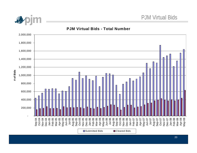



#### **PJM Virtual Bids - Total Number**

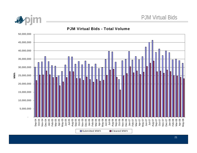

#### **PJM Virtual Bids - Total Volume**

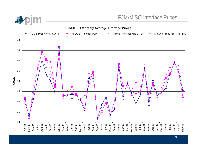

#### **PJM-MISO Monthly Average Interface Prices**

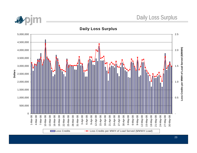

**Daily Loss Surplus**

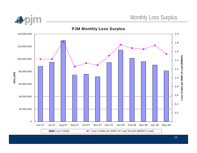

#### **PJM Monthly Loss Surplus**